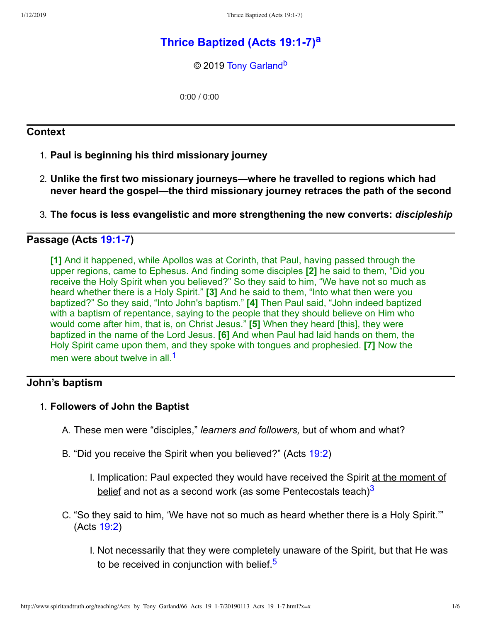# **Thrice [Baptized](http://www.spiritandtruth.org/teaching/Acts_by_Tony_Garland/66_Acts_19_1-7/index.htm) (Acts 19:17) [a](#page-5-0)**

<span id="page-0-4"></span><span id="page-0-3"></span>© 2019 [Tony Garland](http://www.spiritandtruth.org/id/tg.htm)<sup>[b](#page-5-1)</sup>

0:00 / 0:00

### **Context**

- 1. **Paul is beginning his third missionary journey**
- 2. **Unlike the first two missionary journeys—where he travelled to regions which had never heard the gospel—the third missionary journey retraces the path of the second**
- 3. **The focus is less evangelistic and more strengthening the new converts:** *discipleship*

## **Passage (Acts [19:17](http://www.spiritandtruth.org/bibles/nasb/b44c019.htm#Acts_C19V1))**

**[1]** And it happened, while Apollos was at Corinth, that Paul, having passed through the upper regions, came to Ephesus. And finding some disciples **[2]** he said to them, "Did you receive the Holy Spirit when you believed?" So they said to him, "We have not so much as heard whether there is a Holy Spirit." **[3]** And he said to them, "Into what then were you baptized?" So they said, "Into John's baptism." **[4]** Then Paul said, "John indeed baptized with a baptism of repentance, saying to the people that they should believe on Him who would come after him, that is, on Christ Jesus." **[5]** When they heard [this], they were baptized in the name of the Lord Jesus. **[6]** And when Paul had laid hands on them, the Holy Spirit came upon them, and they spoke with tongues and prophesied. **[7]** Now the men were about twelve in all.<sup>[1](#page-5-2)</sup>

### **John's baptism**

#### 1. **Followers of John the Baptist**

- <span id="page-0-0"></span>A. These men were "disciples," *learners and followers,* but of whom and what?
- B. "Did you receive the Spirit when you believed?" (Acts [19:2\)](http://www.spiritandtruth.org/bibles/nasb/b44c019.htm#Acts_C19V2)
	- I. Implication: Paul expected they would have received the Spirit at the moment of <u>belief</u> and not as a second work (as some Pentecostals teach) $^3$  $^3$
- <span id="page-0-2"></span><span id="page-0-1"></span>C. "So they said to him, 'We have not so much as heard whether there is a Holy Spirit.'" (Acts [19:2\)](http://www.spiritandtruth.org/bibles/nasb/b44c019.htm#Acts_C19V2)
	- I. Not necessarily that they were completely unaware of the Spirit, but that He was to be received in conjunction with belief.<sup>[5](#page-5-4)</sup>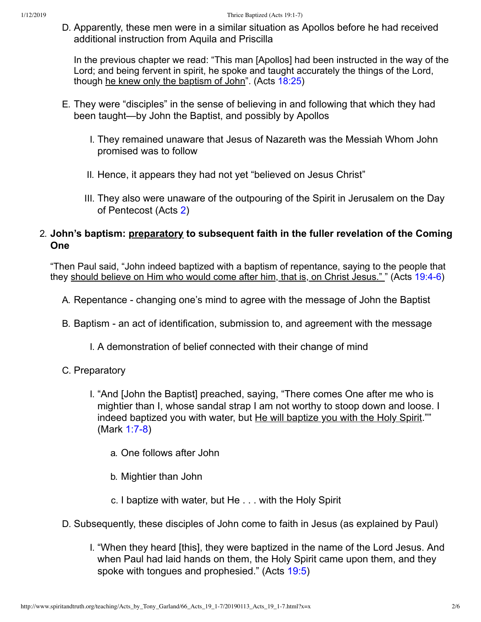D. Apparently, these men were in a similar situation as Apollos before he had received additional instruction from Aquila and Priscilla

In the previous chapter we read: "This man [Apollos] had been instructed in the way of the Lord; and being fervent in spirit, he spoke and taught accurately the things of the Lord, though he knew only the baptism of John". (Acts [18:25\)](http://www.spiritandtruth.org/bibles/nasb/b44c018.htm#Acts_C18V25)

- E. They were "disciples" in the sense of believing in and following that which they had been taught—by John the Baptist, and possibly by Apollos
	- I. They remained unaware that Jesus of Nazareth was the Messiah Whom John promised was to follow
	- II. Hence, it appears they had not yet "believed on Jesus Christ"
	- III. They also were unaware of the outpouring of the Spirit in Jerusalem on the Day of Pentecost (Acts [2\)](http://www.spiritandtruth.org/bibles/nasb/b44c002.htm#Acts_C2V1)

### 2. **John's baptism: preparatory to subsequent faith in the fuller revelation of the Coming One**

"Then Paul said, "John indeed baptized with a baptism of repentance, saying to the people that they should believe on Him who would come after him, that is, on Christ Jesus." " (Acts 19:4-6)

- A. Repentance changing one's mind to agree with the message of John the Baptist
- B. Baptism an act of identification, submission to, and agreement with the message
	- I. A demonstration of belief connected with their change of mind
- C. Preparatory
	- I. "And [John the Baptist] preached, saying, "There comes One after me who is mightier than I, whose sandal strap I am not worthy to stoop down and loose. I indeed baptized you with water, but He will baptize you with the Holy Spirit."" (Mark 1:7-8)
		- a. One follows after John
		- b. Mightier than John
		- c. I baptize with water, but He . . . with the Holy Spirit
- D. Subsequently, these disciples of John come to faith in Jesus (as explained by Paul)
	- I. "When they heard [this], they were baptized in the name of the Lord Jesus. And when Paul had laid hands on them, the Holy Spirit came upon them, and they spoke with tongues and prophesied." (Acts [19:5\)](http://www.spiritandtruth.org/bibles/nasb/b44c019.htm#Acts_C19V5)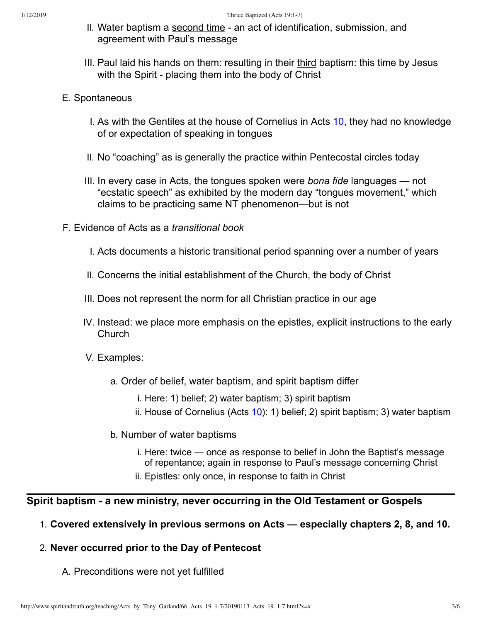- II. Water baptism a second time an act of identification, submission, and agreement with Paul's message
- III. Paul laid his hands on them: resulting in their third baptism: this time by Jesus with the Spirit - placing them into the body of Christ

#### E. Spontaneous

- I. As with the Gentiles at the house of Cornelius in Acts [10,](http://www.spiritandtruth.org/bibles/nasb/b44c010.htm#Acts_C10V1) they had no knowledge of or expectation of speaking in tongues
- II. No "coaching" as is generally the practice within Pentecostal circles today
- III. In every case in Acts, the tongues spoken were *bona fide* languages not "ecstatic speech" as exhibited by the modern day "tongues movement," which claims to be practicing same NT phenomenon—but is not
- F. Evidence of Acts as a *transitional book*
	- I. Acts documents a historic transitional period spanning over a number of years
	- II. Concerns the initial establishment of the Church, the body of Christ
	- III. Does not represent the norm for all Christian practice in our age
	- IV. Instead: we place more emphasis on the epistles, explicit instructions to the early Church
	- V. Examples:
		- a. Order of belief, water baptism, and spirit baptism differ
			- i. Here: 1) belief; 2) water baptism; 3) spirit baptism
			- ii. House of Cornelius (Acts [10\)](http://www.spiritandtruth.org/bibles/nasb/b44c010.htm#Acts_C10V1): 1) belief; 2) spirit baptism; 3) water baptism
		- b. Number of water baptisms
			- i. Here: twice once as response to belief in John the Baptist's message of repentance; again in response to Paul's message concerning Christ
			- ii. Epistles: only once, in response to faith in Christ

### **Spirit baptism a new ministry, never occurring in the Old Testament or Gospels**

#### 1. **Covered extensively in previous sermons on Acts — especially chapters 2, 8, and 10.**

### 2. **Never occurred prior to the Day of Pentecost**

A. Preconditions were not yet fulfilled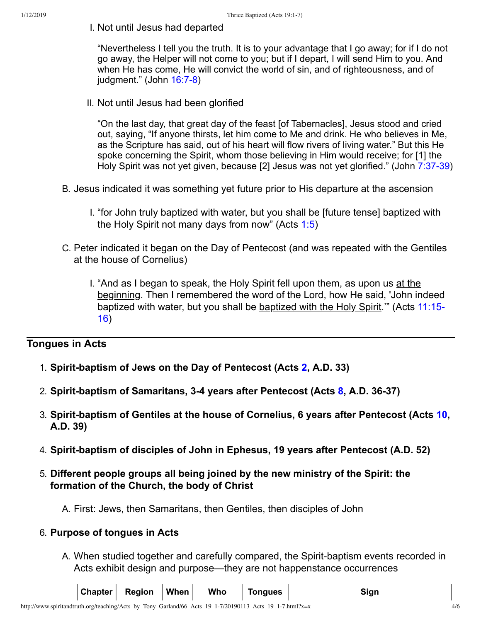I. Not until Jesus had departed

"Nevertheless I tell you the truth. It is to your advantage that I go away; for if I do not go away, the Helper will not come to you; but if I depart, I will send Him to you. And when He has come, He will convict the world of sin, and of righteousness, and of  $judgment."$  (John  $16:7-8$ )

II. Not until Jesus had been glorified

"On the last day, that great day of the feast [of Tabernacles], Jesus stood and cried out, saying, "If anyone thirsts, let him come to Me and drink. He who believes in Me, as the Scripture has said, out of his heart will flow rivers of living water." But this He spoke concerning the Spirit, whom those believing in Him would receive; for [1] the Holy Spirit was not yet given, because [2] Jesus was not yet glorified." (John 7:37-39)

- B. Jesus indicated it was something yet future prior to His departure at the ascension
	- I. "for John truly baptized with water, but you shall be [future tense] baptized with the Holy Spirit not many days from now" (Acts [1:5\)](http://www.spiritandtruth.org/bibles/nasb/b44c001.htm#Acts_C1V5)
- C. Peter indicated it began on the Day of Pentecost (and was repeated with the Gentiles at the house of Cornelius)
	- I. "And as I began to speak, the Holy Spirit fell upon them, as upon us at the beginning. Then I remembered the word of the Lord, how He said, 'John indeed [baptized](http://www.spiritandtruth.org/bibles/nasb/b44c011.htm#Acts_C11V15) with water, but you shall be baptized with the Holy Spirit." (Acts 11:15-16)

# **Tongues in Acts**

- 1. **Spiritbaptism of Jews on the Day of Pentecost (Acts [2](http://www.spiritandtruth.org/bibles/nasb/b44c002.htm#Acts_C2V1), A.D. 33)**
- 2. **Spiritbaptism of Samaritans, 34 years after Pentecost (Acts [8](http://www.spiritandtruth.org/bibles/nasb/b44c008.htm#Acts_C8V1), A.D. 3637)**
- 3. **Spiritbaptism of Gentiles at the house of Cornelius, 6 years after Pentecost (Acts [10,](http://www.spiritandtruth.org/bibles/nasb/b44c010.htm#Acts_C10V1) A.D. 39)**
- 4. **Spiritbaptism of disciples of John in Ephesus, 19 years after Pentecost (A.D. 52)**
- 5. **Different people groups all being joined by the new ministry of the Spirit: the formation of the Church, the body of Christ**

A. First: Jews, then Samaritans, then Gentiles, then disciples of John

#### 6. **Purpose of tongues in Acts**

A. When studied together and carefully compared, the Spirit-baptism events recorded in Acts exhibit design and purpose—they are not happenstance occurrences

|  |  | $ Chapter $ Region $ When $ |  | Who | <b>Tongues</b> | Sign |
|--|--|-----------------------------|--|-----|----------------|------|
|--|--|-----------------------------|--|-----|----------------|------|

http://www.spiritandtruth.org/teaching/Acts\_by\_Tony\_Garland/66\_Acts\_19\_1-7/20190113\_Acts\_19\_1-7.html?x=x 4/6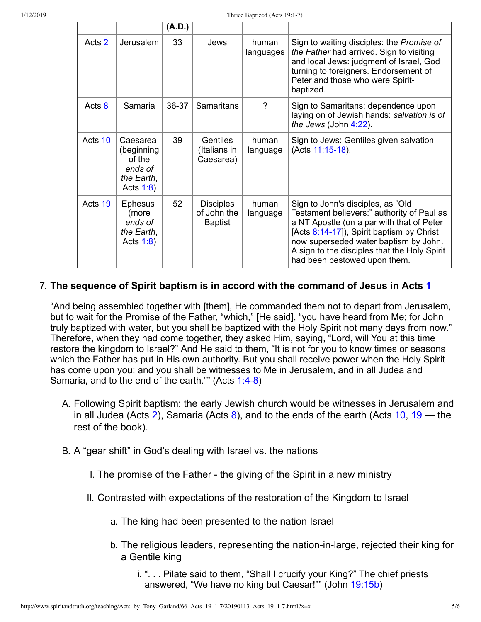$\mathbf{L}$ 

 $\mathbb{L}$ 

 $\mathbb{I}$ 

 $\mathbb T$ 

 $(A \cap Y)$ 

|         |                                                                           | (A.V.) |                                                   |                    |                                                                                                                                                                                                                                                                                                    |
|---------|---------------------------------------------------------------------------|--------|---------------------------------------------------|--------------------|----------------------------------------------------------------------------------------------------------------------------------------------------------------------------------------------------------------------------------------------------------------------------------------------------|
| Acts 2  | Jerusalem                                                                 | 33     | Jews                                              | human<br>languages | Sign to waiting disciples: the Promise of<br>the Father had arrived. Sign to visiting<br>and local Jews: judgment of Israel, God<br>turning to foreigners. Endorsement of<br>Peter and those who were Spirit-<br>baptized.                                                                         |
| Acts 8  | Samaria                                                                   | 36-37  | <b>Samaritans</b>                                 | $\gamma$           | Sign to Samaritans: dependence upon<br>laying on of Jewish hands: salvation is of<br>the Jews (John $4:22$ ).                                                                                                                                                                                      |
| Acts 10 | Caesarea<br>(beginning<br>of the<br>ends of<br>the Earth,<br>Acts $1:8$ ) | 39     | <b>Gentiles</b><br>(Italians in<br>Caesarea)      | human<br>language  | Sign to Jews: Gentiles given salvation<br>(Acts 11:15-18).                                                                                                                                                                                                                                         |
| Acts 19 | <b>Ephesus</b><br>(more<br>ends of<br>the Earth,<br>Acts $1:8$ )          | 52     | <b>Disciples</b><br>of John the<br><b>Baptist</b> | human<br>language  | Sign to John's disciples, as "Old<br>Testament believers:" authority of Paul as<br>a NT Apostle (on a par with that of Peter<br>[Acts 8:14-17]), Spirit baptism by Christ<br>now superseded water baptism by John.<br>A sign to the disciples that the Holy Spirit<br>had been bestowed upon them. |

#### 7. **The sequence of Spirit baptism is in accord with the command of Jesus in Acts [1](http://www.spiritandtruth.org/bibles/nasb/b44c001.htm#Acts_C1V1)**

"And being assembled together with [them], He commanded them not to depart from Jerusalem, but to wait for the Promise of the Father, "which," [He said], "you have heard from Me; for John truly baptized with water, but you shall be baptized with the Holy Spirit not many days from now." Therefore, when they had come together, they asked Him, saying, "Lord, will You at this time restore the kingdom to Israel?" And He said to them, "It is not for you to know times or seasons which the Father has put in His own authority. But you shall receive power when the Holy Spirit has come upon you; and you shall be witnesses to Me in Jerusalem, and in all Judea and Samaria, and to the end of the earth."" (Acts 1:4-8)

- A. Following Spirit baptism: the early Jewish church would be witnesses in Jerusalem and in all Judea (Acts [2\)](http://www.spiritandtruth.org/bibles/nasb/b44c002.htm#Acts_C2V1), Samaria (Acts  $8$ ), and to the ends of the earth (Acts [10,](http://www.spiritandtruth.org/bibles/nasb/b44c010.htm#Acts_C10V1) [19](http://www.spiritandtruth.org/bibles/nasb/b44c019.htm#Acts_C19V1) — the rest of the book).
- B. A "gear shift" in God's dealing with Israel vs. the nations
	- I. The promise of the Father the giving of the Spirit in a new ministry
	- II. Contrasted with expectations of the restoration of the Kingdom to Israel
		- a. The king had been presented to the nation Israel
		- b. The religious leaders, representing the nation-in-large, rejected their king for a Gentile king
			- i. ". . . Pilate said to them, "Shall I crucify your King?" The chief priests answered, "We have no king but Caesar!"" (John [19:15b](http://www.spiritandtruth.org/bibles/nasb/b43c019.htm#John_C19V15))